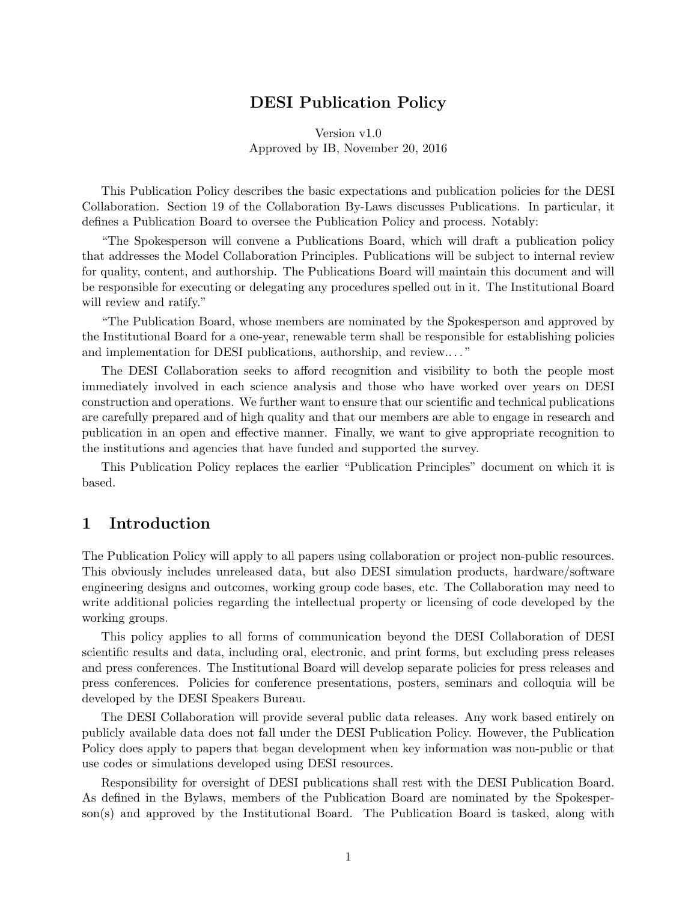# DESI Publication Policy

Version v1.0 Approved by IB, November 20, 2016

This Publication Policy describes the basic expectations and publication policies for the DESI Collaboration. Section 19 of the Collaboration By-Laws discusses Publications. In particular, it defines a Publication Board to oversee the Publication Policy and process. Notably:

"The Spokesperson will convene a Publications Board, which will draft a publication policy that addresses the Model Collaboration Principles. Publications will be subject to internal review for quality, content, and authorship. The Publications Board will maintain this document and will be responsible for executing or delegating any procedures spelled out in it. The Institutional Board will review and ratify."

"The Publication Board, whose members are nominated by the Spokesperson and approved by the Institutional Board for a one-year, renewable term shall be responsible for establishing policies and implementation for DESI publications, authorship, and review.. . . "

The DESI Collaboration seeks to afford recognition and visibility to both the people most immediately involved in each science analysis and those who have worked over years on DESI construction and operations. We further want to ensure that our scientific and technical publications are carefully prepared and of high quality and that our members are able to engage in research and publication in an open and effective manner. Finally, we want to give appropriate recognition to the institutions and agencies that have funded and supported the survey.

This Publication Policy replaces the earlier "Publication Principles" document on which it is based.

## 1 Introduction

The Publication Policy will apply to all papers using collaboration or project non-public resources. This obviously includes unreleased data, but also DESI simulation products, hardware/software engineering designs and outcomes, working group code bases, etc. The Collaboration may need to write additional policies regarding the intellectual property or licensing of code developed by the working groups.

This policy applies to all forms of communication beyond the DESI Collaboration of DESI scientific results and data, including oral, electronic, and print forms, but excluding press releases and press conferences. The Institutional Board will develop separate policies for press releases and press conferences. Policies for conference presentations, posters, seminars and colloquia will be developed by the DESI Speakers Bureau.

The DESI Collaboration will provide several public data releases. Any work based entirely on publicly available data does not fall under the DESI Publication Policy. However, the Publication Policy does apply to papers that began development when key information was non-public or that use codes or simulations developed using DESI resources.

Responsibility for oversight of DESI publications shall rest with the DESI Publication Board. As defined in the Bylaws, members of the Publication Board are nominated by the Spokesperson(s) and approved by the Institutional Board. The Publication Board is tasked, along with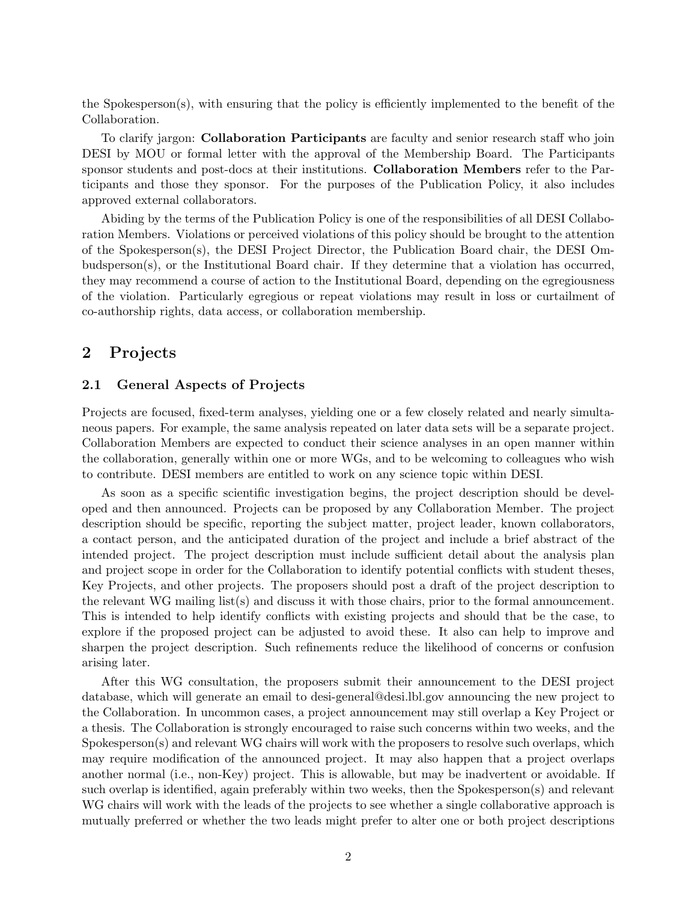the Spokesperson(s), with ensuring that the policy is efficiently implemented to the benefit of the Collaboration.

To clarify jargon: **Collaboration Participants** are faculty and senior research staff who join DESI by MOU or formal letter with the approval of the Membership Board. The Participants sponsor students and post-docs at their institutions. Collaboration Members refer to the Participants and those they sponsor. For the purposes of the Publication Policy, it also includes approved external collaborators.

Abiding by the terms of the Publication Policy is one of the responsibilities of all DESI Collaboration Members. Violations or perceived violations of this policy should be brought to the attention of the Spokesperson(s), the DESI Project Director, the Publication Board chair, the DESI Ombudsperson(s), or the Institutional Board chair. If they determine that a violation has occurred, they may recommend a course of action to the Institutional Board, depending on the egregiousness of the violation. Particularly egregious or repeat violations may result in loss or curtailment of co-authorship rights, data access, or collaboration membership.

# <span id="page-1-0"></span>2 Projects

#### 2.1 General Aspects of Projects

Projects are focused, fixed-term analyses, yielding one or a few closely related and nearly simultaneous papers. For example, the same analysis repeated on later data sets will be a separate project. Collaboration Members are expected to conduct their science analyses in an open manner within the collaboration, generally within one or more WGs, and to be welcoming to colleagues who wish to contribute. DESI members are entitled to work on any science topic within DESI.

As soon as a specific scientific investigation begins, the project description should be developed and then announced. Projects can be proposed by any Collaboration Member. The project description should be specific, reporting the subject matter, project leader, known collaborators, a contact person, and the anticipated duration of the project and include a brief abstract of the intended project. The project description must include sufficient detail about the analysis plan and project scope in order for the Collaboration to identify potential conflicts with student theses, Key Projects, and other projects. The proposers should post a draft of the project description to the relevant WG mailing list(s) and discuss it with those chairs, prior to the formal announcement. This is intended to help identify conflicts with existing projects and should that be the case, to explore if the proposed project can be adjusted to avoid these. It also can help to improve and sharpen the project description. Such refinements reduce the likelihood of concerns or confusion arising later.

After this WG consultation, the proposers submit their announcement to the DESI project database, which will generate an email to desi-general@desi.lbl.gov announcing the new project to the Collaboration. In uncommon cases, a project announcement may still overlap a Key Project or a thesis. The Collaboration is strongly encouraged to raise such concerns within two weeks, and the Spokesperson(s) and relevant WG chairs will work with the proposers to resolve such overlaps, which may require modification of the announced project. It may also happen that a project overlaps another normal (i.e., non-Key) project. This is allowable, but may be inadvertent or avoidable. If such overlap is identified, again preferably within two weeks, then the Spokesperson(s) and relevant WG chairs will work with the leads of the projects to see whether a single collaborative approach is mutually preferred or whether the two leads might prefer to alter one or both project descriptions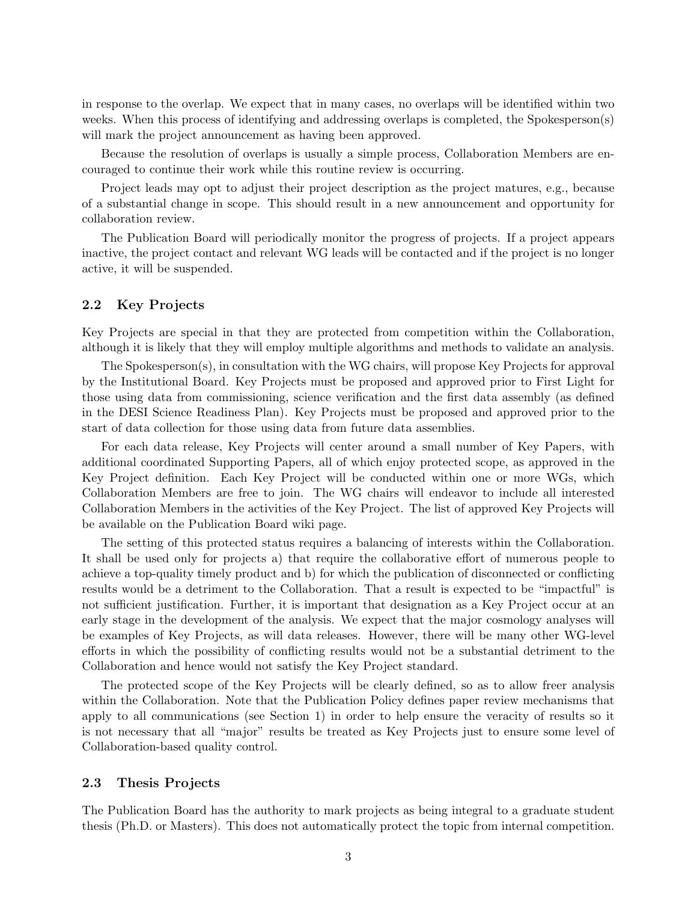in response to the overlap. We expect that in many cases, no overlaps will be identified within two weeks. When this process of identifying and addressing overlaps is completed, the Spokesperson(s) will mark the project announcement as having been approved.

Because the resolution of overlaps is usually a simple process, Collaboration Members are encouraged to continue their work while this routine review is occurring.

Project leads may opt to adjust their project description as the project matures, e.g., because of a substantial change in scope. This should result in a new announcement and opportunity for collaboration review.

The Publication Board will periodically monitor the progress of projects. If a project appears inactive, the project contact and relevant WG leads will be contacted and if the project is no longer active, it will be suspended.

#### 2.2 Key Projects

Key Projects are special in that they are protected from competition within the Collaboration, although it is likely that they will employ multiple algorithms and methods to validate an analysis.

The Spokesperson(s), in consultation with the WG chairs, will propose Key Projects for approval by the Institutional Board. Key Projects must be proposed and approved prior to First Light for those using data from commissioning, science verification and the first data assembly (as defined in the DESI Science Readiness Plan). Key Projects must be proposed and approved prior to the start of data collection for those using data from future data assemblies.

For each data release, Key Projects will center around a small number of Key Papers, with additional coordinated Supporting Papers, all of which enjoy protected scope, as approved in the Key Project definition. Each Key Project will be conducted within one or more WGs, which Collaboration Members are free to join. The WG chairs will endeavor to include all interested Collaboration Members in the activities of the Key Project. The list of approved Key Projects will be available on the Publication Board wiki page.

The setting of this protected status requires a balancing of interests within the Collaboration. It shall be used only for projects a) that require the collaborative effort of numerous people to achieve a top-quality timely product and b) for which the publication of disconnected or conflicting results would be a detriment to the Collaboration. That a result is expected to be "impactful" is not sufficient justification. Further, it is important that designation as a Key Project occur at an early stage in the development of the analysis. We expect that the major cosmology analyses will be examples of Key Projects, as will data releases. However, there will be many other WG-level efforts in which the possibility of conflicting results would not be a substantial detriment to the Collaboration and hence would not satisfy the Key Project standard.

The protected scope of the Key Projects will be clearly defined, so as to allow freer analysis within the Collaboration. Note that the Publication Policy defines paper review mechanisms that apply to all communications (see Section 1) in order to help ensure the veracity of results so it is not necessary that all "major" results be treated as Key Projects just to ensure some level of Collaboration-based quality control.

#### 2.3 Thesis Projects

The Publication Board has the authority to mark projects as being integral to a graduate student thesis (Ph.D. or Masters). This does not automatically protect the topic from internal competition.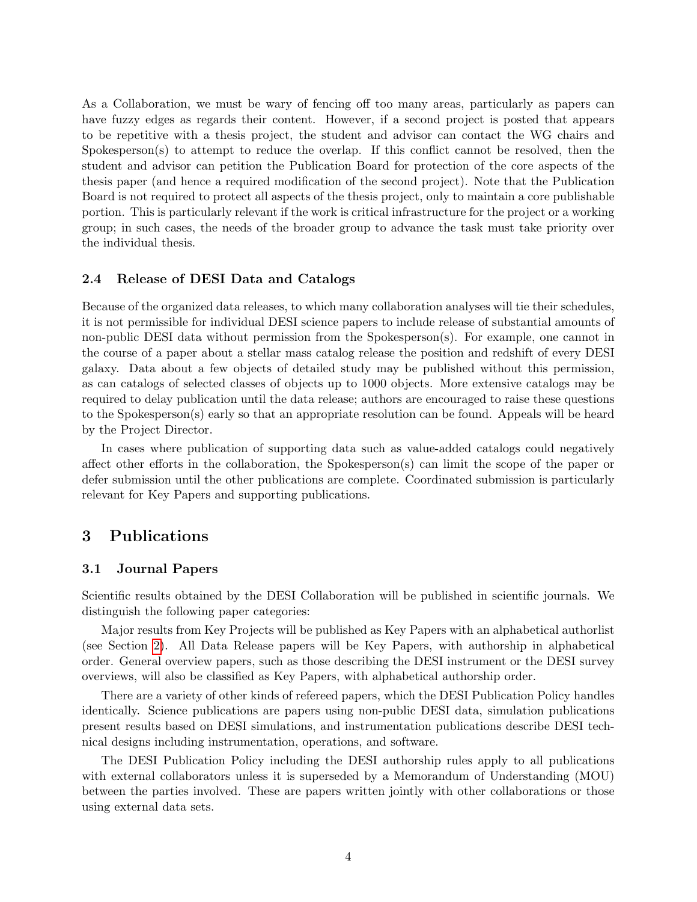As a Collaboration, we must be wary of fencing off too many areas, particularly as papers can have fuzzy edges as regards their content. However, if a second project is posted that appears to be repetitive with a thesis project, the student and advisor can contact the WG chairs and Spokesperson(s) to attempt to reduce the overlap. If this conflict cannot be resolved, then the student and advisor can petition the Publication Board for protection of the core aspects of the thesis paper (and hence a required modification of the second project). Note that the Publication Board is not required to protect all aspects of the thesis project, only to maintain a core publishable portion. This is particularly relevant if the work is critical infrastructure for the project or a working group; in such cases, the needs of the broader group to advance the task must take priority over the individual thesis.

#### <span id="page-3-0"></span>2.4 Release of DESI Data and Catalogs

Because of the organized data releases, to which many collaboration analyses will tie their schedules, it is not permissible for individual DESI science papers to include release of substantial amounts of non-public DESI data without permission from the Spokesperson(s). For example, one cannot in the course of a paper about a stellar mass catalog release the position and redshift of every DESI galaxy. Data about a few objects of detailed study may be published without this permission, as can catalogs of selected classes of objects up to 1000 objects. More extensive catalogs may be required to delay publication until the data release; authors are encouraged to raise these questions to the Spokesperson(s) early so that an appropriate resolution can be found. Appeals will be heard by the Project Director.

In cases where publication of supporting data such as value-added catalogs could negatively affect other efforts in the collaboration, the Spokesperson(s) can limit the scope of the paper or defer submission until the other publications are complete. Coordinated submission is particularly relevant for Key Papers and supporting publications.

## 3 Publications

#### 3.1 Journal Papers

Scientific results obtained by the DESI Collaboration will be published in scientific journals. We distinguish the following paper categories:

Major results from Key Projects will be published as Key Papers with an alphabetical authorlist (see Section [2\)](#page-1-0). All Data Release papers will be Key Papers, with authorship in alphabetical order. General overview papers, such as those describing the DESI instrument or the DESI survey overviews, will also be classified as Key Papers, with alphabetical authorship order.

There are a variety of other kinds of refereed papers, which the DESI Publication Policy handles identically. Science publications are papers using non-public DESI data, simulation publications present results based on DESI simulations, and instrumentation publications describe DESI technical designs including instrumentation, operations, and software.

The DESI Publication Policy including the DESI authorship rules apply to all publications with external collaborators unless it is superseded by a Memorandum of Understanding (MOU) between the parties involved. These are papers written jointly with other collaborations or those using external data sets.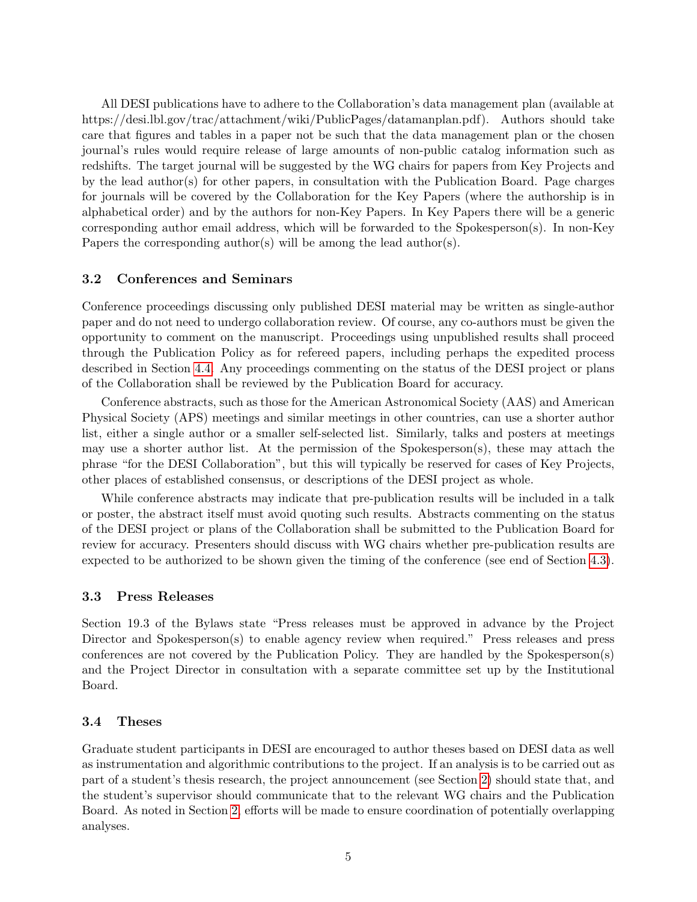All DESI publications have to adhere to the Collaboration's data management plan (available at https://desi.lbl.gov/trac/attachment/wiki/PublicPages/datamanplan.pdf). Authors should take care that figures and tables in a paper not be such that the data management plan or the chosen journal's rules would require release of large amounts of non-public catalog information such as redshifts. The target journal will be suggested by the WG chairs for papers from Key Projects and by the lead author(s) for other papers, in consultation with the Publication Board. Page charges for journals will be covered by the Collaboration for the Key Papers (where the authorship is in alphabetical order) and by the authors for non-Key Papers. In Key Papers there will be a generic corresponding author email address, which will be forwarded to the Spokesperson(s). In non-Key Papers the corresponding author(s) will be among the lead author(s).

#### 3.2 Conferences and Seminars

Conference proceedings discussing only published DESI material may be written as single-author paper and do not need to undergo collaboration review. Of course, any co-authors must be given the opportunity to comment on the manuscript. Proceedings using unpublished results shall proceed through the Publication Policy as for refereed papers, including perhaps the expedited process described in Section [4.4.](#page-9-0) Any proceedings commenting on the status of the DESI project or plans of the Collaboration shall be reviewed by the Publication Board for accuracy.

Conference abstracts, such as those for the American Astronomical Society (AAS) and American Physical Society (APS) meetings and similar meetings in other countries, can use a shorter author list, either a single author or a smaller self-selected list. Similarly, talks and posters at meetings may use a shorter author list. At the permission of the Spokesperson(s), these may attach the phrase "for the DESI Collaboration", but this will typically be reserved for cases of Key Projects, other places of established consensus, or descriptions of the DESI project as whole.

While conference abstracts may indicate that pre-publication results will be included in a talk or poster, the abstract itself must avoid quoting such results. Abstracts commenting on the status of the DESI project or plans of the Collaboration shall be submitted to the Publication Board for review for accuracy. Presenters should discuss with WG chairs whether pre-publication results are expected to be authorized to be shown given the timing of the conference (see end of Section [4.3\)](#page-7-0).

#### 3.3 Press Releases

Section 19.3 of the Bylaws state "Press releases must be approved in advance by the Project Director and Spokesperson(s) to enable agency review when required." Press releases and press conferences are not covered by the Publication Policy. They are handled by the Spokesperson(s) and the Project Director in consultation with a separate committee set up by the Institutional Board.

#### 3.4 Theses

Graduate student participants in DESI are encouraged to author theses based on DESI data as well as instrumentation and algorithmic contributions to the project. If an analysis is to be carried out as part of a student's thesis research, the project announcement (see Section [2\)](#page-1-0) should state that, and the student's supervisor should communicate that to the relevant WG chairs and the Publication Board. As noted in Section [2,](#page-1-0) efforts will be made to ensure coordination of potentially overlapping analyses.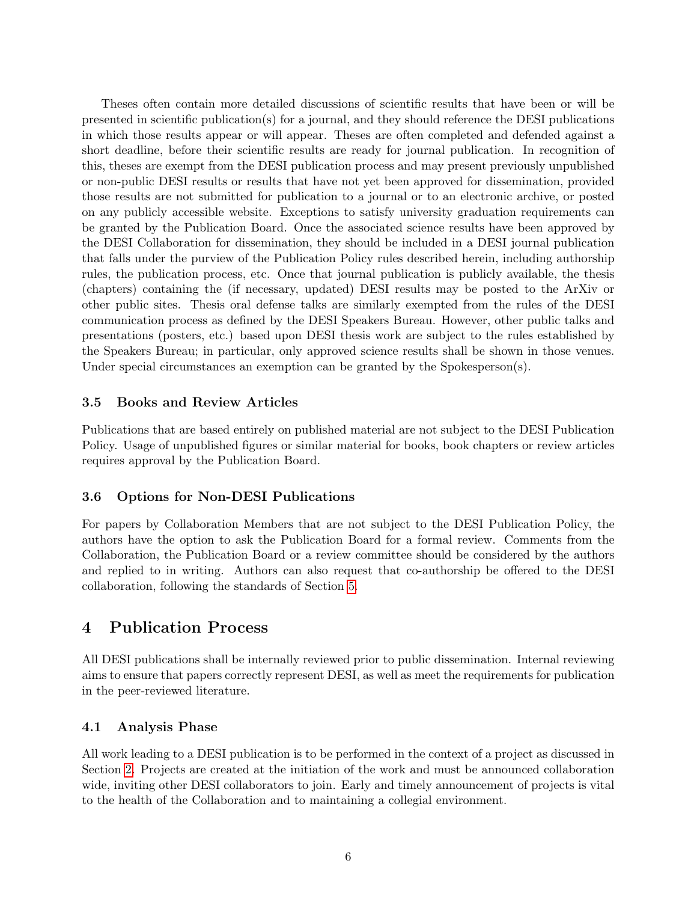Theses often contain more detailed discussions of scientific results that have been or will be presented in scientific publication(s) for a journal, and they should reference the DESI publications in which those results appear or will appear. Theses are often completed and defended against a short deadline, before their scientific results are ready for journal publication. In recognition of this, theses are exempt from the DESI publication process and may present previously unpublished or non-public DESI results or results that have not yet been approved for dissemination, provided those results are not submitted for publication to a journal or to an electronic archive, or posted on any publicly accessible website. Exceptions to satisfy university graduation requirements can be granted by the Publication Board. Once the associated science results have been approved by the DESI Collaboration for dissemination, they should be included in a DESI journal publication that falls under the purview of the Publication Policy rules described herein, including authorship rules, the publication process, etc. Once that journal publication is publicly available, the thesis (chapters) containing the (if necessary, updated) DESI results may be posted to the ArXiv or other public sites. Thesis oral defense talks are similarly exempted from the rules of the DESI communication process as defined by the DESI Speakers Bureau. However, other public talks and presentations (posters, etc.) based upon DESI thesis work are subject to the rules established by the Speakers Bureau; in particular, only approved science results shall be shown in those venues. Under special circumstances an exemption can be granted by the Spokesperson(s).

## 3.5 Books and Review Articles

Publications that are based entirely on published material are not subject to the DESI Publication Policy. Usage of unpublished figures or similar material for books, book chapters or review articles requires approval by the Publication Board.

### 3.6 Options for Non-DESI Publications

For papers by Collaboration Members that are not subject to the DESI Publication Policy, the authors have the option to ask the Publication Board for a formal review. Comments from the Collaboration, the Publication Board or a review committee should be considered by the authors and replied to in writing. Authors can also request that co-authorship be offered to the DESI collaboration, following the standards of Section [5.](#page-9-1)

# 4 Publication Process

All DESI publications shall be internally reviewed prior to public dissemination. Internal reviewing aims to ensure that papers correctly represent DESI, as well as meet the requirements for publication in the peer-reviewed literature.

## <span id="page-5-0"></span>4.1 Analysis Phase

All work leading to a DESI publication is to be performed in the context of a project as discussed in Section [2.](#page-1-0) Projects are created at the initiation of the work and must be announced collaboration wide, inviting other DESI collaborators to join. Early and timely announcement of projects is vital to the health of the Collaboration and to maintaining a collegial environment.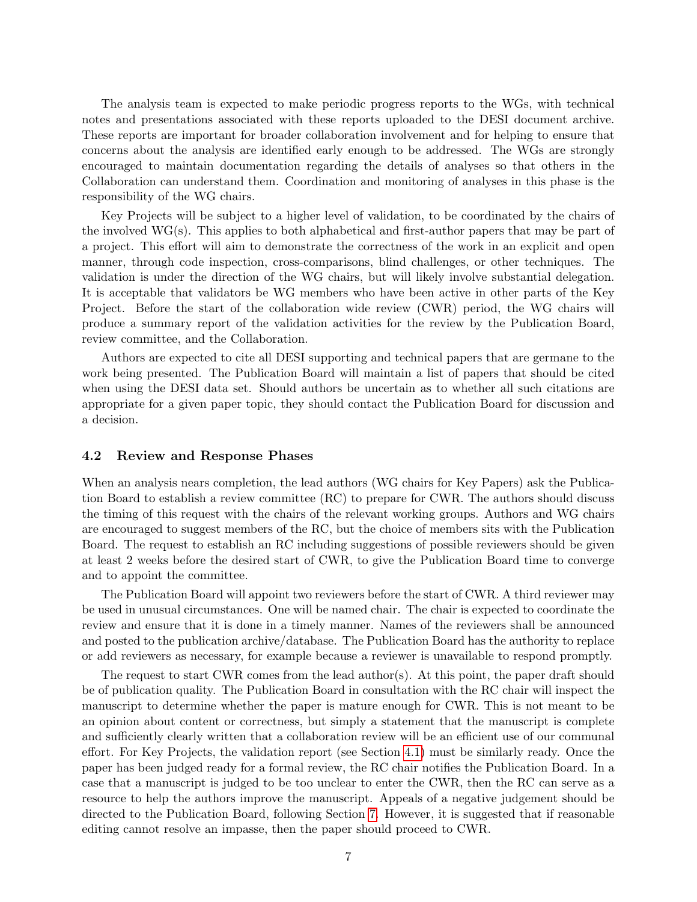The analysis team is expected to make periodic progress reports to the WGs, with technical notes and presentations associated with these reports uploaded to the DESI document archive. These reports are important for broader collaboration involvement and for helping to ensure that concerns about the analysis are identified early enough to be addressed. The WGs are strongly encouraged to maintain documentation regarding the details of analyses so that others in the Collaboration can understand them. Coordination and monitoring of analyses in this phase is the responsibility of the WG chairs.

Key Projects will be subject to a higher level of validation, to be coordinated by the chairs of the involved WG(s). This applies to both alphabetical and first-author papers that may be part of a project. This effort will aim to demonstrate the correctness of the work in an explicit and open manner, through code inspection, cross-comparisons, blind challenges, or other techniques. The validation is under the direction of the WG chairs, but will likely involve substantial delegation. It is acceptable that validators be WG members who have been active in other parts of the Key Project. Before the start of the collaboration wide review (CWR) period, the WG chairs will produce a summary report of the validation activities for the review by the Publication Board, review committee, and the Collaboration.

Authors are expected to cite all DESI supporting and technical papers that are germane to the work being presented. The Publication Board will maintain a list of papers that should be cited when using the DESI data set. Should authors be uncertain as to whether all such citations are appropriate for a given paper topic, they should contact the Publication Board for discussion and a decision.

#### 4.2 Review and Response Phases

When an analysis nears completion, the lead authors (WG chairs for Key Papers) ask the Publication Board to establish a review committee (RC) to prepare for CWR. The authors should discuss the timing of this request with the chairs of the relevant working groups. Authors and WG chairs are encouraged to suggest members of the RC, but the choice of members sits with the Publication Board. The request to establish an RC including suggestions of possible reviewers should be given at least 2 weeks before the desired start of CWR, to give the Publication Board time to converge and to appoint the committee.

The Publication Board will appoint two reviewers before the start of CWR. A third reviewer may be used in unusual circumstances. One will be named chair. The chair is expected to coordinate the review and ensure that it is done in a timely manner. Names of the reviewers shall be announced and posted to the publication archive/database. The Publication Board has the authority to replace or add reviewers as necessary, for example because a reviewer is unavailable to respond promptly.

The request to start CWR comes from the lead author(s). At this point, the paper draft should be of publication quality. The Publication Board in consultation with the RC chair will inspect the manuscript to determine whether the paper is mature enough for CWR. This is not meant to be an opinion about content or correctness, but simply a statement that the manuscript is complete and sufficiently clearly written that a collaboration review will be an efficient use of our communal effort. For Key Projects, the validation report (see Section [4.1\)](#page-5-0) must be similarly ready. Once the paper has been judged ready for a formal review, the RC chair notifies the Publication Board. In a case that a manuscript is judged to be too unclear to enter the CWR, then the RC can serve as a resource to help the authors improve the manuscript. Appeals of a negative judgement should be directed to the Publication Board, following Section [7.](#page-11-0) However, it is suggested that if reasonable editing cannot resolve an impasse, then the paper should proceed to CWR.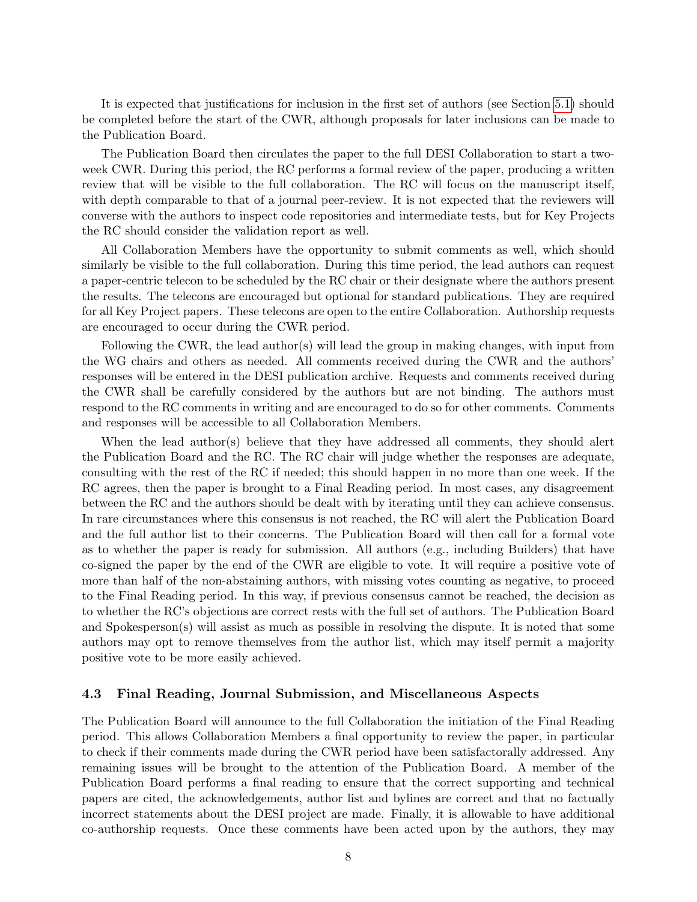It is expected that justifications for inclusion in the first set of authors (see Section [5.1\)](#page-9-2) should be completed before the start of the CWR, although proposals for later inclusions can be made to the Publication Board.

The Publication Board then circulates the paper to the full DESI Collaboration to start a twoweek CWR. During this period, the RC performs a formal review of the paper, producing a written review that will be visible to the full collaboration. The RC will focus on the manuscript itself, with depth comparable to that of a journal peer-review. It is not expected that the reviewers will converse with the authors to inspect code repositories and intermediate tests, but for Key Projects the RC should consider the validation report as well.

All Collaboration Members have the opportunity to submit comments as well, which should similarly be visible to the full collaboration. During this time period, the lead authors can request a paper-centric telecon to be scheduled by the RC chair or their designate where the authors present the results. The telecons are encouraged but optional for standard publications. They are required for all Key Project papers. These telecons are open to the entire Collaboration. Authorship requests are encouraged to occur during the CWR period.

Following the CWR, the lead author(s) will lead the group in making changes, with input from the WG chairs and others as needed. All comments received during the CWR and the authors' responses will be entered in the DESI publication archive. Requests and comments received during the CWR shall be carefully considered by the authors but are not binding. The authors must respond to the RC comments in writing and are encouraged to do so for other comments. Comments and responses will be accessible to all Collaboration Members.

When the lead author(s) believe that they have addressed all comments, they should alert the Publication Board and the RC. The RC chair will judge whether the responses are adequate, consulting with the rest of the RC if needed; this should happen in no more than one week. If the RC agrees, then the paper is brought to a Final Reading period. In most cases, any disagreement between the RC and the authors should be dealt with by iterating until they can achieve consensus. In rare circumstances where this consensus is not reached, the RC will alert the Publication Board and the full author list to their concerns. The Publication Board will then call for a formal vote as to whether the paper is ready for submission. All authors (e.g., including Builders) that have co-signed the paper by the end of the CWR are eligible to vote. It will require a positive vote of more than half of the non-abstaining authors, with missing votes counting as negative, to proceed to the Final Reading period. In this way, if previous consensus cannot be reached, the decision as to whether the RC's objections are correct rests with the full set of authors. The Publication Board and Spokesperson(s) will assist as much as possible in resolving the dispute. It is noted that some authors may opt to remove themselves from the author list, which may itself permit a majority positive vote to be more easily achieved.

#### <span id="page-7-0"></span>4.3 Final Reading, Journal Submission, and Miscellaneous Aspects

The Publication Board will announce to the full Collaboration the initiation of the Final Reading period. This allows Collaboration Members a final opportunity to review the paper, in particular to check if their comments made during the CWR period have been satisfactorally addressed. Any remaining issues will be brought to the attention of the Publication Board. A member of the Publication Board performs a final reading to ensure that the correct supporting and technical papers are cited, the acknowledgements, author list and bylines are correct and that no factually incorrect statements about the DESI project are made. Finally, it is allowable to have additional co-authorship requests. Once these comments have been acted upon by the authors, they may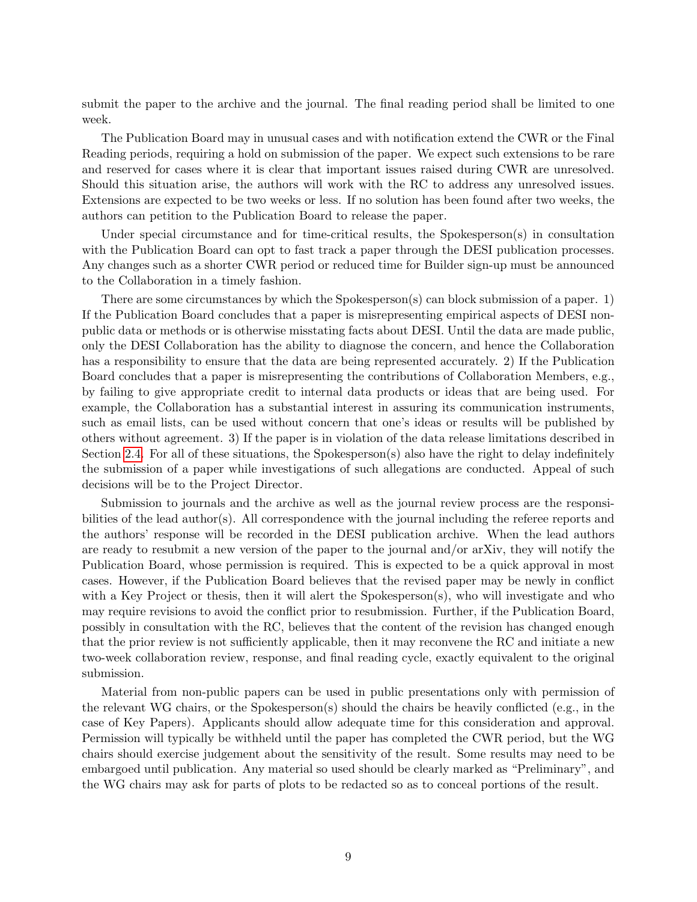submit the paper to the archive and the journal. The final reading period shall be limited to one week.

The Publication Board may in unusual cases and with notification extend the CWR or the Final Reading periods, requiring a hold on submission of the paper. We expect such extensions to be rare and reserved for cases where it is clear that important issues raised during CWR are unresolved. Should this situation arise, the authors will work with the RC to address any unresolved issues. Extensions are expected to be two weeks or less. If no solution has been found after two weeks, the authors can petition to the Publication Board to release the paper.

Under special circumstance and for time-critical results, the Spokesperson(s) in consultation with the Publication Board can opt to fast track a paper through the DESI publication processes. Any changes such as a shorter CWR period or reduced time for Builder sign-up must be announced to the Collaboration in a timely fashion.

There are some circumstances by which the Spokesperson(s) can block submission of a paper. 1) If the Publication Board concludes that a paper is misrepresenting empirical aspects of DESI nonpublic data or methods or is otherwise misstating facts about DESI. Until the data are made public, only the DESI Collaboration has the ability to diagnose the concern, and hence the Collaboration has a responsibility to ensure that the data are being represented accurately. 2) If the Publication Board concludes that a paper is misrepresenting the contributions of Collaboration Members, e.g., by failing to give appropriate credit to internal data products or ideas that are being used. For example, the Collaboration has a substantial interest in assuring its communication instruments, such as email lists, can be used without concern that one's ideas or results will be published by others without agreement. 3) If the paper is in violation of the data release limitations described in Section [2.4.](#page-3-0) For all of these situations, the Spokesperson(s) also have the right to delay indefinitely the submission of a paper while investigations of such allegations are conducted. Appeal of such decisions will be to the Project Director.

Submission to journals and the archive as well as the journal review process are the responsibilities of the lead author(s). All correspondence with the journal including the referee reports and the authors' response will be recorded in the DESI publication archive. When the lead authors are ready to resubmit a new version of the paper to the journal and/or arXiv, they will notify the Publication Board, whose permission is required. This is expected to be a quick approval in most cases. However, if the Publication Board believes that the revised paper may be newly in conflict with a Key Project or thesis, then it will alert the Spokesperson(s), who will investigate and who may require revisions to avoid the conflict prior to resubmission. Further, if the Publication Board, possibly in consultation with the RC, believes that the content of the revision has changed enough that the prior review is not sufficiently applicable, then it may reconvene the RC and initiate a new two-week collaboration review, response, and final reading cycle, exactly equivalent to the original submission.

Material from non-public papers can be used in public presentations only with permission of the relevant WG chairs, or the Spokesperson(s) should the chairs be heavily conflicted (e.g., in the case of Key Papers). Applicants should allow adequate time for this consideration and approval. Permission will typically be withheld until the paper has completed the CWR period, but the WG chairs should exercise judgement about the sensitivity of the result. Some results may need to be embargoed until publication. Any material so used should be clearly marked as "Preliminary", and the WG chairs may ask for parts of plots to be redacted so as to conceal portions of the result.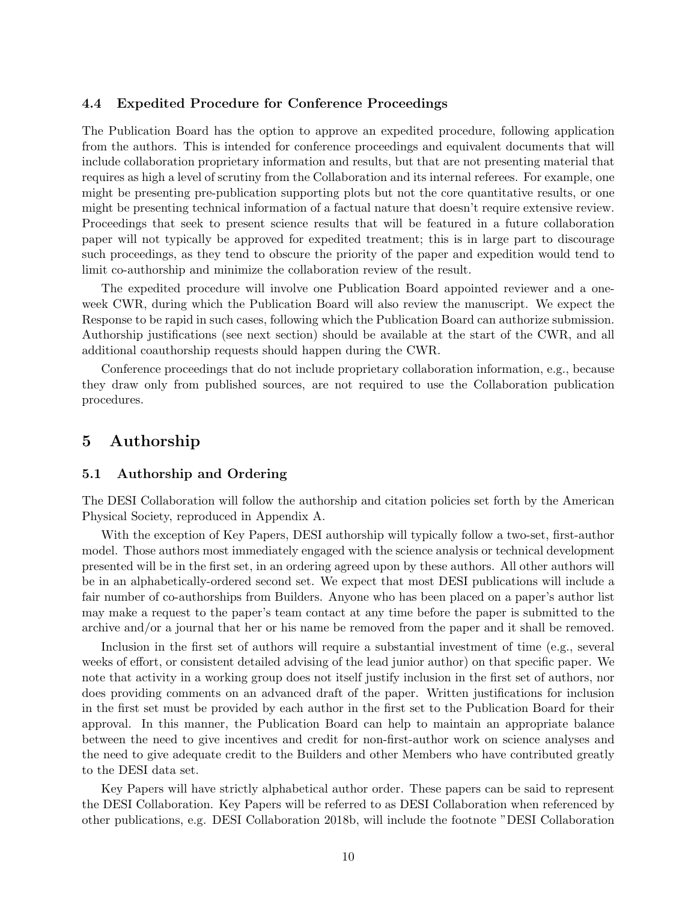#### <span id="page-9-0"></span>4.4 Expedited Procedure for Conference Proceedings

The Publication Board has the option to approve an expedited procedure, following application from the authors. This is intended for conference proceedings and equivalent documents that will include collaboration proprietary information and results, but that are not presenting material that requires as high a level of scrutiny from the Collaboration and its internal referees. For example, one might be presenting pre-publication supporting plots but not the core quantitative results, or one might be presenting technical information of a factual nature that doesn't require extensive review. Proceedings that seek to present science results that will be featured in a future collaboration paper will not typically be approved for expedited treatment; this is in large part to discourage such proceedings, as they tend to obscure the priority of the paper and expedition would tend to limit co-authorship and minimize the collaboration review of the result.

The expedited procedure will involve one Publication Board appointed reviewer and a oneweek CWR, during which the Publication Board will also review the manuscript. We expect the Response to be rapid in such cases, following which the Publication Board can authorize submission. Authorship justifications (see next section) should be available at the start of the CWR, and all additional coauthorship requests should happen during the CWR.

Conference proceedings that do not include proprietary collaboration information, e.g., because they draw only from published sources, are not required to use the Collaboration publication procedures.

# <span id="page-9-1"></span>5 Authorship

#### <span id="page-9-2"></span>5.1 Authorship and Ordering

The DESI Collaboration will follow the authorship and citation policies set forth by the American Physical Society, reproduced in Appendix A.

With the exception of Key Papers, DESI authorship will typically follow a two-set, first-author model. Those authors most immediately engaged with the science analysis or technical development presented will be in the first set, in an ordering agreed upon by these authors. All other authors will be in an alphabetically-ordered second set. We expect that most DESI publications will include a fair number of co-authorships from Builders. Anyone who has been placed on a paper's author list may make a request to the paper's team contact at any time before the paper is submitted to the archive and/or a journal that her or his name be removed from the paper and it shall be removed.

Inclusion in the first set of authors will require a substantial investment of time (e.g., several weeks of effort, or consistent detailed advising of the lead junior author) on that specific paper. We note that activity in a working group does not itself justify inclusion in the first set of authors, nor does providing comments on an advanced draft of the paper. Written justifications for inclusion in the first set must be provided by each author in the first set to the Publication Board for their approval. In this manner, the Publication Board can help to maintain an appropriate balance between the need to give incentives and credit for non-first-author work on science analyses and the need to give adequate credit to the Builders and other Members who have contributed greatly to the DESI data set.

Key Papers will have strictly alphabetical author order. These papers can be said to represent the DESI Collaboration. Key Papers will be referred to as DESI Collaboration when referenced by other publications, e.g. DESI Collaboration 2018b, will include the footnote "DESI Collaboration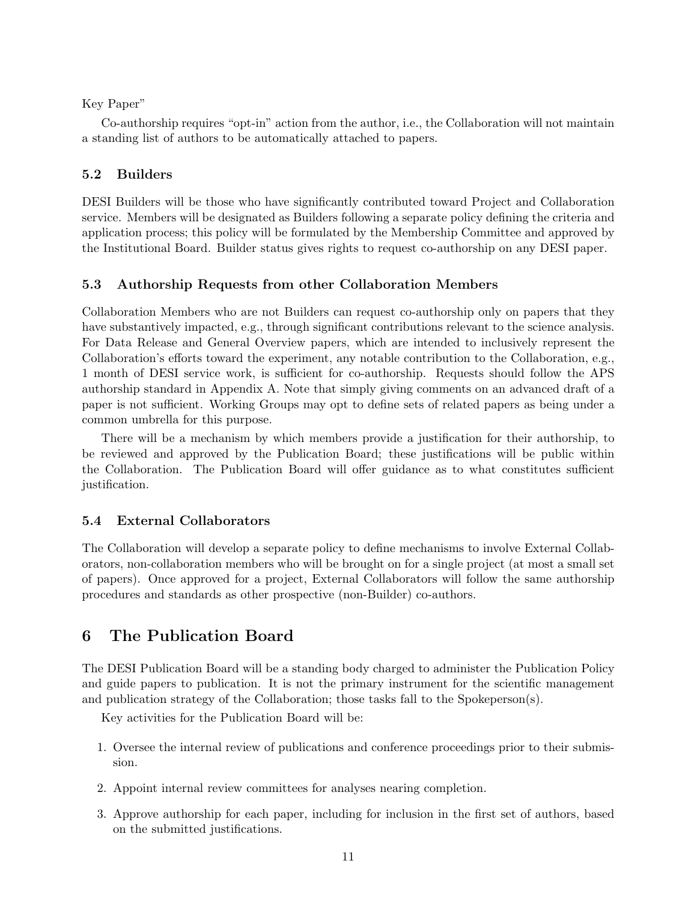### Key Paper"

Co-authorship requires "opt-in" action from the author, i.e., the Collaboration will not maintain a standing list of authors to be automatically attached to papers.

### 5.2 Builders

DESI Builders will be those who have significantly contributed toward Project and Collaboration service. Members will be designated as Builders following a separate policy defining the criteria and application process; this policy will be formulated by the Membership Committee and approved by the Institutional Board. Builder status gives rights to request co-authorship on any DESI paper.

## 5.3 Authorship Requests from other Collaboration Members

Collaboration Members who are not Builders can request co-authorship only on papers that they have substantively impacted, e.g., through significant contributions relevant to the science analysis. For Data Release and General Overview papers, which are intended to inclusively represent the Collaboration's efforts toward the experiment, any notable contribution to the Collaboration, e.g., 1 month of DESI service work, is sufficient for co-authorship. Requests should follow the APS authorship standard in Appendix A. Note that simply giving comments on an advanced draft of a paper is not sufficient. Working Groups may opt to define sets of related papers as being under a common umbrella for this purpose.

There will be a mechanism by which members provide a justification for their authorship, to be reviewed and approved by the Publication Board; these justifications will be public within the Collaboration. The Publication Board will offer guidance as to what constitutes sufficient justification.

### 5.4 External Collaborators

The Collaboration will develop a separate policy to define mechanisms to involve External Collaborators, non-collaboration members who will be brought on for a single project (at most a small set of papers). Once approved for a project, External Collaborators will follow the same authorship procedures and standards as other prospective (non-Builder) co-authors.

# 6 The Publication Board

The DESI Publication Board will be a standing body charged to administer the Publication Policy and guide papers to publication. It is not the primary instrument for the scientific management and publication strategy of the Collaboration; those tasks fall to the Spokeperson(s).

Key activities for the Publication Board will be:

- 1. Oversee the internal review of publications and conference proceedings prior to their submission.
- 2. Appoint internal review committees for analyses nearing completion.
- 3. Approve authorship for each paper, including for inclusion in the first set of authors, based on the submitted justifications.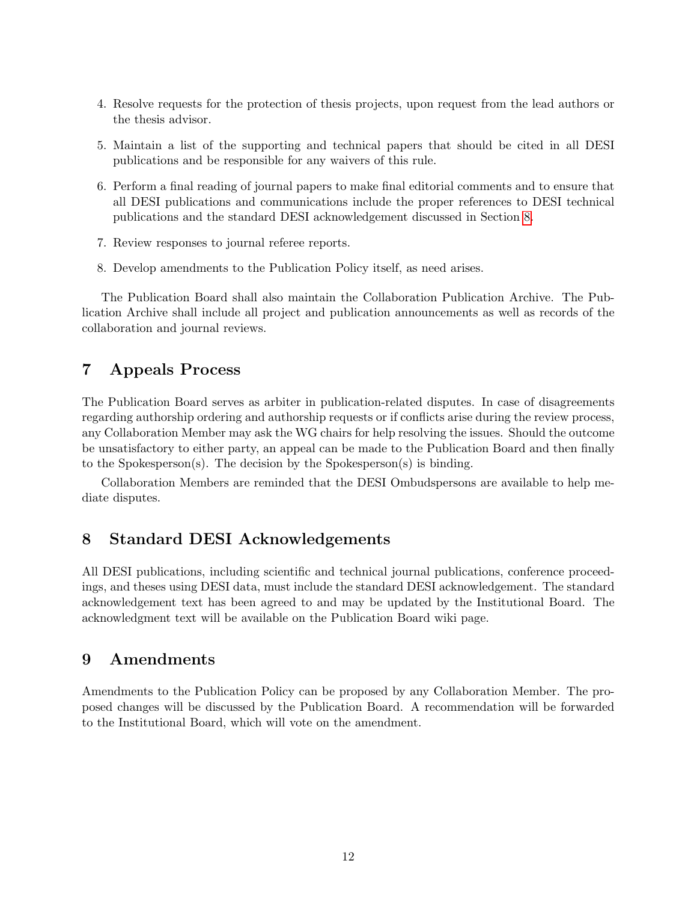- 4. Resolve requests for the protection of thesis projects, upon request from the lead authors or the thesis advisor.
- 5. Maintain a list of the supporting and technical papers that should be cited in all DESI publications and be responsible for any waivers of this rule.
- 6. Perform a final reading of journal papers to make final editorial comments and to ensure that all DESI publications and communications include the proper references to DESI technical publications and the standard DESI acknowledgement discussed in Section [8.](#page-11-1)
- 7. Review responses to journal referee reports.
- 8. Develop amendments to the Publication Policy itself, as need arises.

The Publication Board shall also maintain the Collaboration Publication Archive. The Publication Archive shall include all project and publication announcements as well as records of the collaboration and journal reviews.

# <span id="page-11-0"></span>7 Appeals Process

The Publication Board serves as arbiter in publication-related disputes. In case of disagreements regarding authorship ordering and authorship requests or if conflicts arise during the review process, any Collaboration Member may ask the WG chairs for help resolving the issues. Should the outcome be unsatisfactory to either party, an appeal can be made to the Publication Board and then finally to the Spokesperson(s). The decision by the Spokesperson(s) is binding.

Collaboration Members are reminded that the DESI Ombudspersons are available to help mediate disputes.

# <span id="page-11-1"></span>8 Standard DESI Acknowledgements

All DESI publications, including scientific and technical journal publications, conference proceedings, and theses using DESI data, must include the standard DESI acknowledgement. The standard acknowledgement text has been agreed to and may be updated by the Institutional Board. The acknowledgment text will be available on the Publication Board wiki page.

## 9 Amendments

Amendments to the Publication Policy can be proposed by any Collaboration Member. The proposed changes will be discussed by the Publication Board. A recommendation will be forwarded to the Institutional Board, which will vote on the amendment.